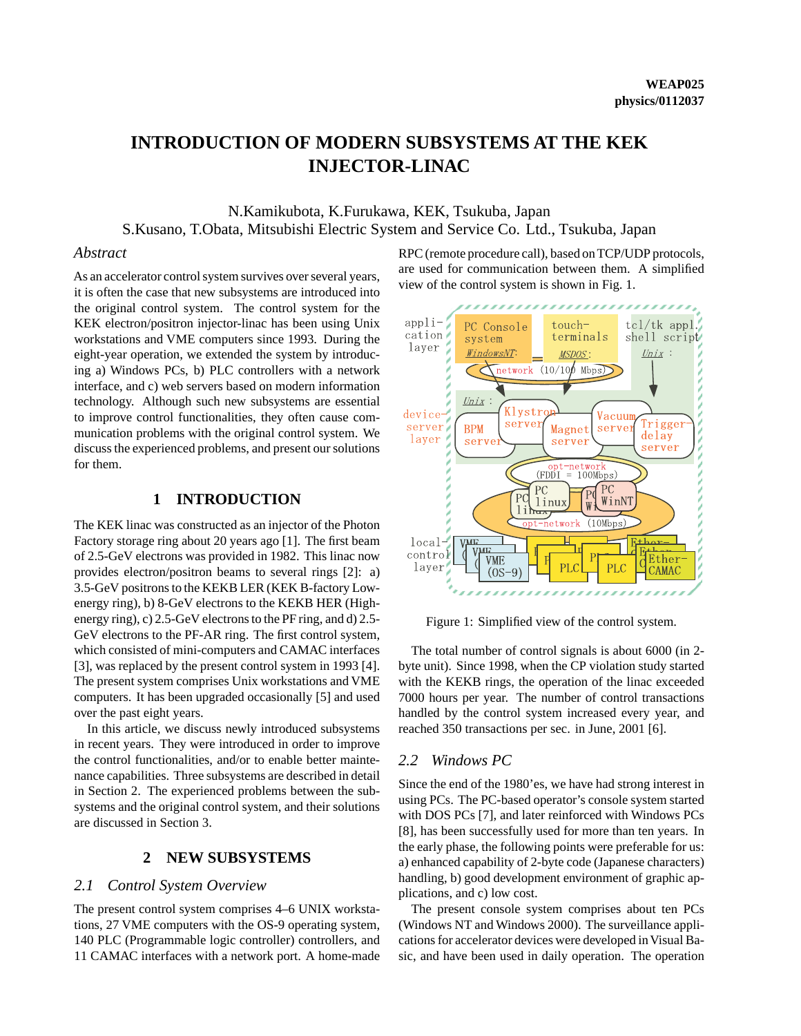# **INTRODUCTION OF MODERN SUBSYSTEMS AT THE KEK INJECTOR-LINAC**

N.Kamikubota, K.Furukawa, KEK, Tsukuba, Japan S.Kusano, T.Obata, Mitsubishi Electric System and Service Co. Ltd., Tsukuba, Japan

#### *Abstract*

As an accelerator control system survives over several years, it is often the case that new subsystems are introduced into the original control system. The control system for the KEK electron/positron injector-linac has been using Unix workstations and VME computers since 1993. During the eight-year operation, we extended the system by introducing a) Windows PCs, b) PLC controllers with a network interface, and c) web servers based on modern information technology. Although such new subsystems are essential to improve control functionalities, they often cause communication problems with the original control system. We discuss the experienced problems, and present our solutions for them.

## **1 INTRODUCTION**

The KEK linac was constructed as an injector of the Photon Factory storage ring about 20 years ago [1]. The first beam of 2.5-GeV electrons was provided in 1982. This linac now provides electron/positron beams to several rings [2]: a) 3.5-GeV positrons to the KEKB LER (KEK B-factory Lowenergy ring), b) 8-GeV electrons to the KEKB HER (Highenergy ring), c) 2.5-GeV electrons to the PF ring, and d) 2.5- GeV electrons to the PF-AR ring. The first control system, which consisted of mini-computers and CAMAC interfaces [3], was replaced by the present control system in 1993 [4]. The present system comprises Unix workstations and VME computers. It has been upgraded occasionally [5] and used over the past eight years.

In this article, we discuss newly introduced subsystems in recent years. They were introduced in order to improve the control functionalities, and/or to enable better maintenance capabilities. Three subsystems are described in detail in Section 2. The experienced problems between the subsystems and the original control system, and their solutions are discussed in Section 3.

## **2 NEW SUBSYSTEMS**

#### *2.1 Control System Overview*

The present control system comprises 4–6 UNIX workstations, 27 VME computers with the OS-9 operating system, 140 PLC (Programmable logic controller) controllers, and 11 CAMAC interfaces with a network port. A home-made RPC (remote procedure call), based on TCP/UDP protocols, are used for communication between them. A simplified view of the control system is shown in Fig. 1.



Figure 1: Simplified view of the control system.

The total number of control signals is about 6000 (in 2 byte unit). Since 1998, when the CP violation study started with the KEKB rings, the operation of the linac exceeded 7000 hours per year. The number of control transactions handled by the control system increased every year, and reached 350 transactions per sec. in June, 2001 [6].

### *2.2 Windows PC*

Since the end of the 1980'es, we have had strong interest in using PCs. The PC-based operator's console system started with DOS PCs [7], and later reinforced with Windows PCs [8], has been successfully used for more than ten years. In the early phase, the following points were preferable for us: a) enhanced capability of 2-byte code (Japanese characters) handling, b) good development environment of graphic applications, and c) low cost.

The present console system comprises about ten PCs (Windows NT and Windows 2000). The surveillance applications for accelerator devices were developed in Visual Basic, and have been used in daily operation. The operation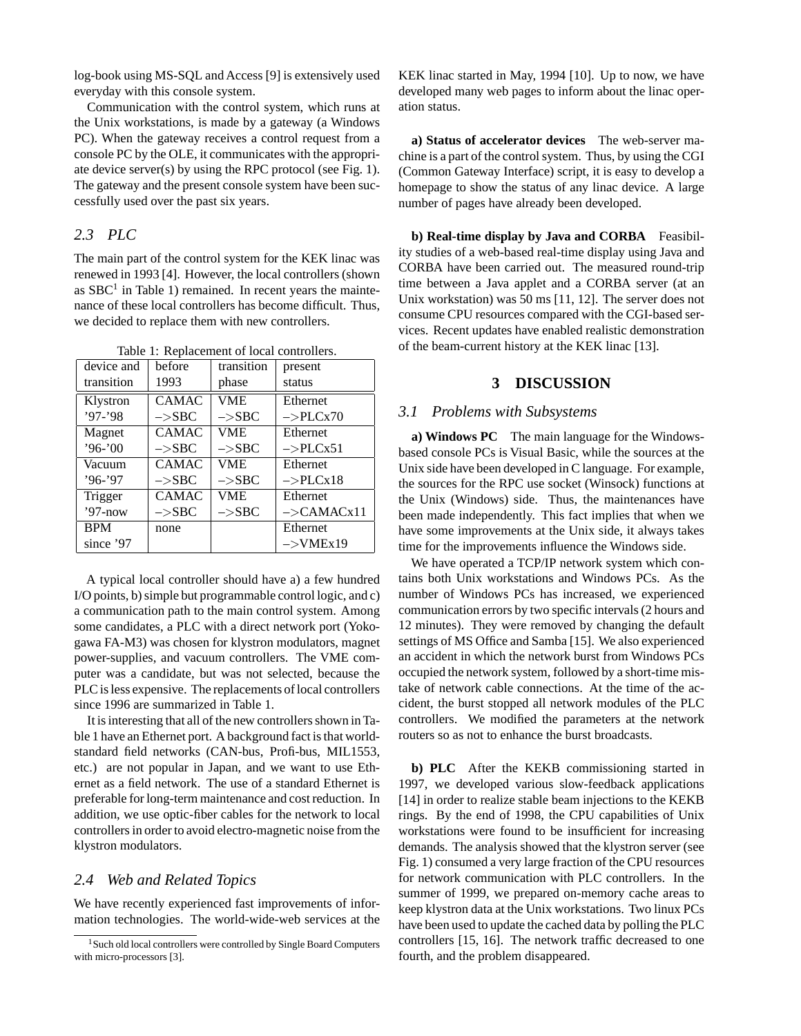log-book using MS-SQL and Access [9] is extensively used everyday with this console system.

Communication with the control system, which runs at the Unix workstations, is made by a gateway (a Windows PC). When the gateway receives a control request from a console PC by the OLE, it communicates with the appropriate device server(s) by using the RPC protocol (see Fig. 1). The gateway and the present console system have been successfully used over the past six years.

## *2.3 PLC*

The main part of the control system for the KEK linac was renewed in 1993 [4]. However, the local controllers (shown as  $SBC<sup>1</sup>$  in Table 1) remained. In recent years the maintenance of these local controllers has become difficult. Thus, we decided to replace them with new controllers.

Table 1: Replacement of local controllers.

| device and | before            | transition        | present                   |
|------------|-------------------|-------------------|---------------------------|
| transition | 1993              | phase             | status                    |
| Klystron   | <b>CAMAC</b>      | <b>VME</b>        | Ethernet                  |
| $'97-'98$  | $->$ SBC          | $->$ SBC          | $\rightarrow$ PLCx70      |
| Magnet     | <b>CAMAC</b>      | VME.              | Ethernet                  |
| $96 - 00$  | $->$ SBC          | $\rightarrow$ SBC | $\rightarrow$ PLCx51      |
| Vacuum     | <b>CAMAC</b>      | VME.              | Ethernet                  |
| $'96-'97$  | $->$ SBC          | $->$ SBC          | $\rightarrow$ PLCx18      |
| Trigger    | <b>CAMAC</b>      | <b>VME</b>        | Ethernet                  |
| $'97$ -now | $\rightarrow$ SBC | $\rightarrow$ SBC | $->$ CAMAC <sub>x11</sub> |
| <b>BPM</b> | none              |                   | Ethernet                  |
| since '97  |                   |                   | $->VMEx19$                |
|            |                   |                   |                           |

A typical local controller should have a) a few hundred I/O points, b) simple but programmable control logic, and c) a communication path to the main control system. Among some candidates, a PLC with a direct network port (Yokogawa FA-M3) was chosen for klystron modulators, magnet power-supplies, and vacuum controllers. The VME computer was a candidate, but was not selected, because the PLC is less expensive. The replacements of local controllers since 1996 are summarized in Table 1.

It is interesting that all of the new controllers shown in Table 1 have an Ethernet port. A background fact is that worldstandard field networks (CAN-bus, Profi-bus, MIL1553, etc.) are not popular in Japan, and we want to use Ethernet as a field network. The use of a standard Ethernet is preferable for long-term maintenance and cost reduction. In addition, we use optic-fiber cables for the network to local controllers in order to avoid electro-magnetic noise from the klystron modulators.

## *2.4 Web and Related Topics*

We have recently experienced fast improvements of information technologies. The world-wide-web services at the KEK linac started in May, 1994 [10]. Up to now, we have developed many web pages to inform about the linac operation status.

**a) Status of accelerator devices** The web-server machine is a part of the control system. Thus, by using the CGI (Common Gateway Interface) script, it is easy to develop a homepage to show the status of any linac device. A large number of pages have already been developed.

**b) Real-time display by Java and CORBA** Feasibility studies of a web-based real-time display using Java and CORBA have been carried out. The measured round-trip time between a Java applet and a CORBA server (at an Unix workstation) was 50 ms [11, 12]. The server does not consume CPU resources compared with the CGI-based services. Recent updates have enabled realistic demonstration of the beam-current history at the KEK linac [13].

#### **3 DISCUSSION**

#### *3.1 Problems with Subsystems*

**a) Windows PC** The main language for the Windowsbased console PCs is Visual Basic, while the sources at the Unix side have been developed in C language. For example, the sources for the RPC use socket (Winsock) functions at the Unix (Windows) side. Thus, the maintenances have been made independently. This fact implies that when we have some improvements at the Unix side, it always takes time for the improvements influence the Windows side.

We have operated a TCP/IP network system which contains both Unix workstations and Windows PCs. As the number of Windows PCs has increased, we experienced communication errors by two specific intervals (2 hours and 12 minutes). They were removed by changing the default settings of MS Office and Samba [15]. We also experienced an accident in which the network burst from Windows PCs occupied the network system, followed by a short-time mistake of network cable connections. At the time of the accident, the burst stopped all network modules of the PLC controllers. We modified the parameters at the network routers so as not to enhance the burst broadcasts.

**b) PLC** After the KEKB commissioning started in 1997, we developed various slow-feedback applications [14] in order to realize stable beam injections to the KEKB rings. By the end of 1998, the CPU capabilities of Unix workstations were found to be insufficient for increasing demands. The analysis showed that the klystron server (see Fig. 1) consumed a very large fraction of the CPU resources for network communication with PLC controllers. In the summer of 1999, we prepared on-memory cache areas to keep klystron data at the Unix workstations. Two linux PCs have been used to update the cached data by polling the PLC controllers [15, 16]. The network traffic decreased to one fourth, and the problem disappeared.

<sup>&</sup>lt;sup>1</sup> Such old local controllers were controlled by Single Board Computers with micro-processors [3].